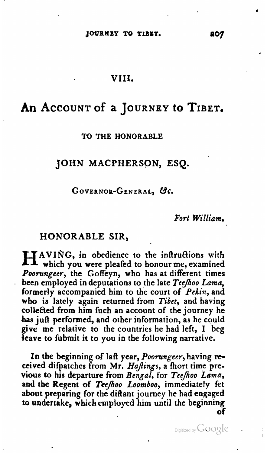#### **VIII.**

# An ACCOUNT of a JOURNEY to TIBET.

#### **TO THE HONORABLE**

## **JOHN MACPHERSON, ESQ.**

#### GOVERNOR-GENERAL, &c.

Fort William.

### **HONORABLE SIR,**

HAVING, in obedience to the inftructions with which you were pleafed to honour me, examined Poorungeer, the Goffeyn, who has at different times been employed in deputations to the late Teefhoo Lama, formerly accompanied him to the court of  $Pekin$ , and who is lately again returned from Tibet, and having collected from him fuch an account of the journey he has juft performed, and other information, as he could give me relative to the countries he had left, I beg leave to fubmit it to you in the following narrative.

In the beginning of laft year, Poorungeer, having received difpatches from Mr. HaJings, a **ihort** time previous to his departure from Bengal, for Teefhoo Lama, and the Regent of Tee/hoo Loomboo, immediately fet about preparing for the difiant journey he had engaged to undertake, which employed him until the beginning **of** 

Digitized by **GOOgle**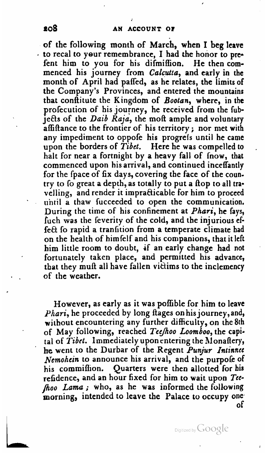of the following month of March, when I beg leave - to recal to your remembrance, I had the honor to pre-<br>fent him to you for his difmiffion. He then comfent him to you for his difmiffion. menced his journey from Calcutta, and early in the month of April had paffed, as he relates, the limits of the Company's Provinces, and entered the mountains that conftitute the Kingdom of Bootan, where, in the profecution of his journey, he received from the fubjects of the Daib Raja, the moft ample and voluntary affiftance to the frontier of his territory; nor met with any impediment to oppofe his progress until he came<br>upon the borders of Tibet. Here he was compelled to halt for near a fortnight by a heavy fall of fnow, that commenced upon his arrival, and continued inceffantly for the fpace of **fix** days, covering the face of the country to fo great a depth, as totally to put a flop to all travelling, and render it imprafiicable for him to proceed uhtil a thaw fucceeded to open the communication. During the time of his confinement at *Phari*, he fays, fuch was the feverity of the cold, and the injurious effect fo rapid a tranfition from a temperate climate had on the health of himielf and his companions, that it left him little room to doubt, if an early change had not fortunately taken place, and permitted his advance, that they muft all have fallen victims to the inclemency of the weather.

However, as early as it was poffible for him to leave *Phari*, he proceeded by long flages on his journey, and, without encountering any further difficulty, on the 8th of May following, reached Teefhoo Loomboo, the capi-<br>tal of Tibet. Immediately upon entering the Monaftery, the went to the Durbar of the Regent Punjur Intinnec Nemohein to announce his arrival, and the purpole of his commiffion. Quarters were then allotted for bis refidence, and an hour fixed for him to wait upon Teehoo Lama; who, as he was informed the following morning, intended to leave the Palace to occupy one. of

Digitized by GOOgle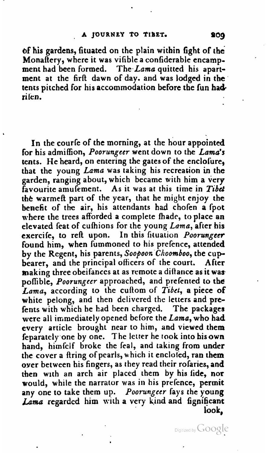**of** his gardens, fituated on the plain within fight of the Monaftery, where it was vifible a confiderable encampment had been formed. The Lama quitted his apartment at the firft dawn of day. and was lodged in the tents pitched for his accommodation before the fun had**rilen.** 

In the courfe of the morning, at the hour appointed for his admiffion, Poorungeer went down to the Lama's tents. He heard, on entering the gates of the enclofure, that the young Lama was taking his recreation in the garden, ranging about, which became with him a very favourite amufement. As it was at this time in **Tibet**  the warmeft part of the year, that he might enjoy the benefit of the air, his attendants had chofen a fpot where the trees afforded a complete fhade, to place an elevated feat of cufhions for the young Lama, after his exercife, to reft upon. In this fituation Poorungeer found him, when fummoned to his prefence, attended by the Regent, his parents, Soopoon Choomboo, the cup-<br>bearer, and the principal officers of the court. After bearer, and the principal officers of the court. making three obeifances at as remote a diftance as it waspoffible, Poorungeer approached, and prefented to the Lama, according to the cuftom of Tibet, a piece of white pelong, and then delivered the letters and prefents with which he had been charged. The packages were all immediately opened before the Lama, who had every article brought near to him, and viewed them feparately-one by one. The letter he took into his **own**  hand, himfelf broke the feal, and taking from under the cover a firing of pearls, which it encloled, ran them over between his fingers, as they read their rofaries, and then with an arch air placed them by his **iide,** nor would, while the narrator was in his prefence, permit any one to take them up. Poorungeer fays the young Lama regarded him with a very kind and fignificant look,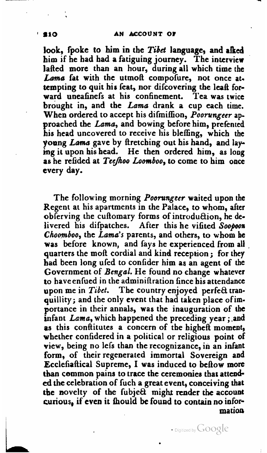look, fpoke to him in the Tibet language, and alked him if he had had a fatiguing journey. The interview lafted more than an hour, during all which time the Lama fat with the utmoft compofure, not once attempting to quit his feat, nor difcovering the leaft forward uneafinefs at his confinement. Tea was twice brought in, and the Lama drank a cup each time. When ordered to accept his difmiffion, *Poorungeer* approached the Lama, and bowing before him, prefented his head uncovered to receive his bleffing, which the young Lama gave by firetching out his hand, and laying it upon his head. He then ordered him, as long as he refided at Teefhoo Loomboo, to come to him once every day.

The following morning *Poorungeer* waited upon the Regent at his apartments in the Palace, to whom, after obferving the cuftomary forms of introduction, he delivered his difpatches. After this he viiited **Soopooa**  Choomboo, the Lama's parents, and others, to whom he was before known, and fays he experienced from all quarters the mofi cordial and kind reception ; for they had been long ufed to confider him as an agent of the Government of *Bengal*. He found no change whatever to have enfued in the adminifiration fince his attendance upon me in  $Tibet$ . The country enjoyed perfect tranquillity; and the only event that had taken place ofimportance in their annals, was the inauguration of **the**  infant Lama, which happened the preceding year ; **.and**  as this confiitutes a concern of the higheft moment, whether confidered in a political or religious point of view, being no lefs than the recognizance, in an infant form, of their regenerated immortal Sovereign and Ecclefiaftical Supreme, I was induced to beftow more tban common pains to trace the ceremonies that attended the celebration of fuch a great event, conceiving that **tbc** novelty of the fubjeQ might render the account curious, if even it fhould be found to contain no infor**ma tim** 

**210** 

 $\cdot$  Digitized by  $Google$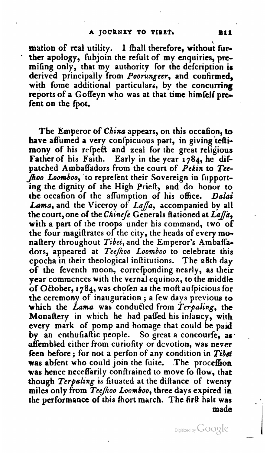mation of real utility. I fhall therefore, without further apology, fubjoin the refult of my enquiries, premifing only, that my authority for the delcription **ir**  derived principally from Poorungeer, and confirmed, with fome additional particulars, by the concurring reports of a Goffeyn who was at that time himfelf **pre**fent on the fpot.

The Emperor of China appears, on this occafion, to have affumed a very confpicuous part, in giving teftimony of his relpeft and zeal for the great religious Father of his Faith. Early in the year 1784, he difpatched Ambaffadors from the court of *Pekin* to *Tcc-*Jhoo Loomboo, to reprefent their Sovereign in fupport**ing** the dignity of the High PrieA, and do honor to the occafion of the affumption of his office. Dalai Lama, and the Viceroy of Laffa, accompanied by all the court, one of the *Chinese* Generals flationed at *Laffa*, with a part of the troops under his command, two of the four magiftrates of the city, the heads of every monaftery throughout Tibet, and the Emperor's Ambaffadors, appeared at Teefhoo Loomboo to celebrate this epocha in their theological inflitutions. The 28th day of the feventh moon, correfponding nearly, as their year'commences with the vernal equinox, to the middle of October, 1784, was chofen as the moft aufpicious for the ceremony of inauguration; a few days previous to which the *Lama* was conducted from *Terpaling*, the Monaftery in which he had paffed his infancy, with every mark of pomp and homage that could be paid by an enthufiaftic people. So great a concourfe, as affembled either from curiofity or devotion, was never feen before; for not a perfon of any condition in Tibet was abfent who could join the fuite. The proceffion was hence neceffarily confirained to move fo **flow,** that though Terpaling is fituated at the diftance of twenty miles only from TecJoo *Loomboo,* three days expired in *the* performance of this hort march. The **tit&** halt **was made** I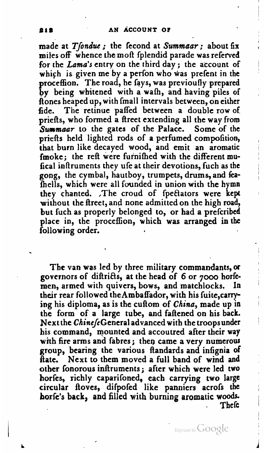made at Tfondue; the fecond at Summaar; about fix miles off whence the moft fplendid parade was referved for the **Lama's** entry on the third day ; the account of which is given me by a perfon who was prefent in the proceffion. The road, he fays, was previoufly prepared by being whitened with a waih, and having piles of Aones heaped up, with fmall intervals between, on either fide. The retinue paffed between a double row of priefts, who formed a fireet extending all the way from *Summaar* to the gates of the Palace. Some of the priefts held lighted rods of a perfumed compofition, that burn like decayed wood, and emit an aromatic fmoke; the reft were furnifhed with the different mufical inflruments they ufe at their devotions, fuch as the **gong,** the cymbal, hautboy, trumpets, drums, and fafhells, which were all founded in union with the hymn they chanted. .The croud of fpectators were kept without the fireet, and none admitted on the high road, but fuch as properly belonged to, or had a prefcribed place in, the procefion, which was arranged in the following order.

The van was led by three military commandants, **ot**  governors of diftricts, at the head of 6 or 7000 horfemen, armed with quivers, bows, and matchlocks. their rear followed the Ambaffador, with his fuite, carrying his diploma, as is the cuftom of China, made up in the form of a large tube, and faftened on his back. Next the ChinefeGeneral advanced with the troops under his command, mounted and accoutred after their way with fire arms and fabres; then came a very numerous group, bearing the various Aandards and infignia of Hate. Next to them moved a full band of wind and other fonorous inftruments; after which were led two horfes, richly caparifoned, each carrying two large circular fioves, difpofed like panniers acrofs the **horfe's** back, and filled with burning aromatic woods - **There**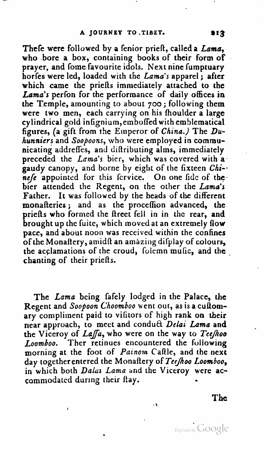Thele were followed by a fenior prieft, called a *Lama*, who bore a box, containing books of their form of prayer, and fome favourite idols. Next nine fumptuary horfes were led, loaded with the Lama's apparel; after which came the priefis immediately attached to the Lama's perfon for the performance of daily offices in the Temple, amounting to about  $700$ ; following them were two men, each carrying on his fhoulder a large cylindrical gold infignium,em boffed with emblematical figures, (a gift from **the** Emperor of **China.)** The Duhunniers and Soopoons, who were employed in communicating addreffes, and diltributing alms, immediately preceded the **Lama's** bier, which was covered with **a.**  gaudy canopy, and borne by eight of the fixteen *Chi***nefc** appointed for this fervice. On one fide of the bier attended the Regent, on the other the Lama's Father. It was followed by the heads of the different monafteries; and as the proceffion advanced, the priefts who formed the firect fell in in the rear, and brought up the fuite, which moved at an extremely flow pace, and about noon was received within the confines of the Monaftery, amidft an amazing difplay of colours, the acclamations of the croud, folemn mufic, and the chanting of their priefis.

The Lama being fafely lodged in the Palace, the Regent and Soopoon Choomboo went out, as is a cultomary compliment paid to vifitors of high rank on their near approach, to meet and conduA Dclai **Lama** and the Viceroy of *Laffa*, who were on the way to Teefhoo Loomboo. Ther retinues encountered the following morning at the foot of Painom Caftle, and the next day together entered the Monaftery of Tee/hoo Loomboo, in which both Dalat Lama and the Viceroy were accommodated during their flay.

**The**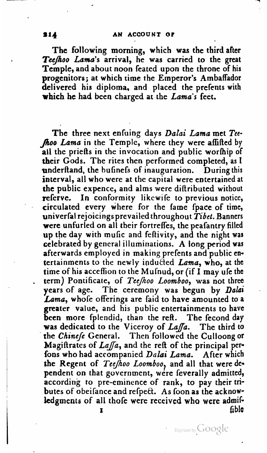The following morning, which **was** the third after *TecJoo* Lama's arrival, he was carried to the great Temple, and about noon feated upon the throne of his progenitors; at which time the Emperor's Ambaffador delivered his diploma, and placed the prefents with which he had been charged at the *Lama's* feet.

The three next enfuing days *Dalai Lama* met *Tee*  hoo Lama in the Temple, where they were affifted by all the priefts in the invocation and public worthip of their Gods. The rites then performed completed, as I underftand, the bufinefs of inauguration. During this interval, all who were at the capital were entertained at the public expence, and alms were diftributed without referve. In conformity likewife to previous notice, circulated every where for the fame fpace of time, univerfal rejoicingsprevailed throughout *Tibet.* Banners were unfurled on all their fortreffes, the peafantry filled up the day with mufic and feltivity, and the night **was**  celebrated by general illuminations. **A** long period was afterwards employed in making prefents and public entertainments to the newly inducted *Lama*, who, at the time of his accefion to the Mufnud, or (if I may ufe the term) Pontificate, of Teefhoo Loomboo, was not three years of age. The ceremony was begun by Dalai Lama, whole offerings are faid to have amounted to a greater value, and his public entertainments to have been more fplendid, than the reft. The fecond day was dedicated to the Viceroy of *LaJa.* The third to the *Chincfe* General. Then followed the Culloong or Magiftrates of Laffa, and the reft of the principal perfons who had accompanied Dalai Lama. After which the Regent of *Tcejoo Loomboo?* and all that were **de\***  pendent on that government, were feverally admitted, according to pre-eminence of rank, to pay their tributes of obeifance and refpect. As foon as the acknowkedgments of all thofe were received who were admi-<br>fible **I fi** blc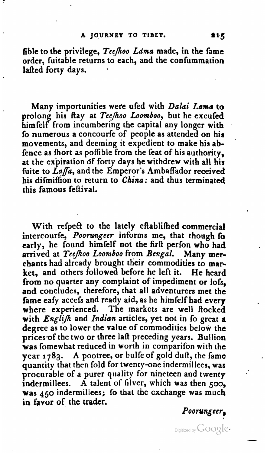fible to the privilege, Teefhoo Lama made, in the fame order, fuitable returns to each, and the conlummation lafted forty days.

Many importunities wete ufed with *Dahi* Lama to prolong his ftay at Tee/hoo Loomboo, but he excufed himfelf from incumbering the capital any longer with fo numerous a concourfe of people as attended on his movements, and deeming it expedient to make his abfence as fhort as pofible from the feat of his authority, at the expiration df forty days he withdrew with all his fuite to Laffa, and the Emperor's Ambaffador received his difmiffion to return to **China:** and thus terminated this famous feflival.

With refpect to the lately eftablifhed commercial intercourfe, *Poorungeer* informs me, that though fo early, he found himfelf not the **firfi** perfon who had arrived at Teefhoo Loomboo from Bengal. Many merchants had already brought their commodities to market, and others followed before he left it. He heard from no quarter any complaint of impediment or lofs. and concludes, therefore, that all adventurers met the fame eafy accefs and ready aid, as he himfelf had every where experienced. The markets are well flocked with *Englifh* and *Indian* articles, yet not in fo great **a** degree as to lower the value of commodities below the prices of the two or three laft preceding years. Bullion was fomewhat reduced in worth in comparifon with the year **1783.** A pootree, or bulfe of gold **dufi,** the fame quantity that then fold for twenty-one indermillees, was procurable of a purer quality for nineteen and twenty indermillees. A talent of filver, which was then  $500$ , was **450** indermiliees; **ib** that the exchange was much in favor of the trader.

Poorungccr,

Digitized by  $Google \cdot$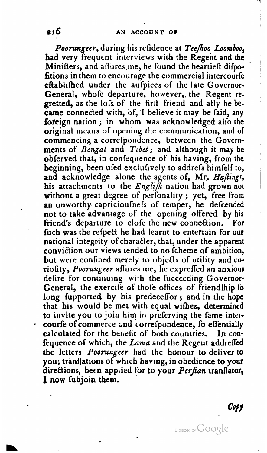Poorungeer, during his refidence at Teefhoo Loomboo, had very frequent interviews with the Regent and the Minifters, and affures me, he found the heartieft difpofitions in them to encourage the commercial intercourfe eftablifhed under the aufpices of the late Governor-General, whole departure, however, the Regent regretted, as the lofs of the firlt friend and ally he became connected with, of, I believe it may be faid, any foreign nation; in whom was acknowledged alfo the original means of opening the communication, and of commencing a correfpondence, between the Governments of *Bengal* and *Tibet*; and although it may be obferved that, in confequence of his having, from the beginning, been ufed exclufively to addrefs himfelf to, and acknowledge alone the agents of, Mr. Haftings, his attachments to the *Englift* nation had grown not without a great degree of perfonality; yet, free from **ap** unworthy capricioufnefs of temper, he defcended not to take advantage of the opening offered by his friend's departure to clofe the new connection. For fuch was the refpect he had learnt to entertain for our national integrity of character, that, under the apparent conviction our views tended to no fcheme of ambition, but were confined merely to objects of utility and curiofity, Poorungeer affures me, he expreffed an anxious defire for continuing with the fucceeding Governor-General, the exercife of thofe offices of friendship fo long fupported by his predeceffor; and in the hope that his would be met with equal wihes, determined to invite you to join him in prclcrving the fame inter courfe of commerce and correfpondence, fo effentially calculated for the benefit of both countries. In confequence of which, the Lama and the Regent addreffed the letters Poorungeer had the honour to deliver to you; tianflations of which having, in obedience to your directions, been applied for to your Perfian tranflator, **I now** fubjoin them.

Copy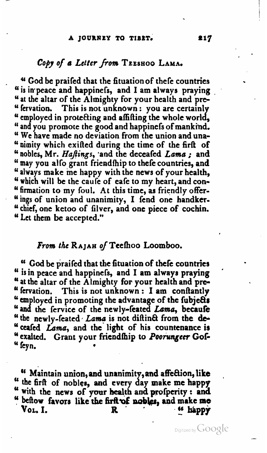#### A JOURNEY TO TIBET.

## Copy of a Letter from TEESHOO LAMA.

" God be praifed that the fituation of thefe countries " is in peace and happinefs, and I am always praying " at the altar of the Almighty for your health and pre-" fervation. This is not unknown: you are certainly " employed in protecting and affitting the whole world, " and you promote the good and happinefs of mankind. "We have made no deviation from the union and una-" nimity which exifted during the time of the firft of " nobles, Mr. Haftings, and the deceafed Lama; and " may you alfo grant friendfhip to thefe countries, and " always make me happy with the news of your health, " which will be the caufe of eafe to my heart, and con-" firmation to my foul. At this time, as friendly offer-"ings of union and unanimity, I fend one handker-" chief, one ketoo of filver, and one piece of cochin. "Let them be accepted."

## From the RAJAH of Teefhoo Loomboo.

" God be praifed that the fituation of thefe countries " is in peace and happiness, and I am always praying " at the altar of the Almighty for your health and pre-" fervation. This is not unknown: I am conftantly " employed in promoting the advantage of the fubjects " and the fervice of the newly-feated Lama, becaufe "the newly-feated Lama is not diftinct from the de-" ceafed Lama, and the light of his countenance is " exalted. Grant your friendfhip to Poorungeer Gof-" feyn.

" Maintain union, and unanimity, and affection, like " the firft of nobles, and every day make me happy " with the news of your health and profperity: and " beftow favors like the firft of nobles, and make me Vol. I. <sup>66</sup> happy R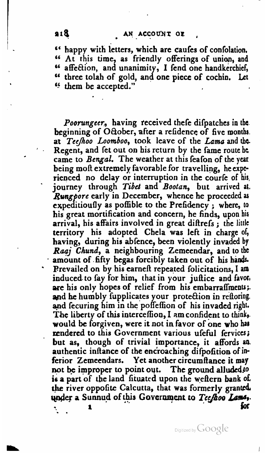" happy with letters, which are caules of confolation. **ss** At this time, as friendly offerings of uniw, and **Cc** affeaibn, and unanimity, I fend one handkerchief, **CL** three tolah of gold, and one piece of cochio, **Let**  <sup>44</sup> them be accepted."

*Poorungccr,* having teceived there dirpatches in **the.**  beginning of October, after a refidence of five months.<br>at Tee/hoo Loomboo, took leave of the Lama and the. Regent, and fet out on his return by the fame route he came to *Bengal*. The weather at this feafon of the year being moft extremely favorable for travelling, he experienced no delay or interruption in the courfe of his, journey through *Tibet* and *Bootan*, but arrived at. *Rwrgporc* early in December, whence he proceeded **as**  expeditioufly as poffible to the Prefidency; where, to his great mortification and concern, he finds, upon his arrival, his affairs involved in great difirefs ; the little territory his adopted Chela was left in charge of, having, during his abfence, been violently invaded by *Rauj* Chund, a neighbouring Zemeendar, and to the amount of fifty begas forcibly taken out of his hands. Prevailed on by his earneft repeated folicitations, I am induced. to fay for him, that in your juitice and **favor,**  are his only hopes of relief from his embarraffments; and he humbly fupplicates your protection in reftoring. and fecuring him in the poffeffion of his invaded right. The liberty of this intercefion, I am confident to think,. would **be** forgiven, were it not in favor of one **who** ha: rendered to this Government various ufeful fervices; but as, though of trivial importance, it affords **a.**  authentic infiance of the enc'roaching difpofition of inferior Zemeendars. Yet another circumftance it may not be improper to point out. The ground alluded to is a part of the land fituated upon the weftern bank of. the river oppolite Calcutta, that was formerly granted. under a Sunnud of this Government to Teefhoo Lame,. -. **1 br** 

Digitized by GOOgle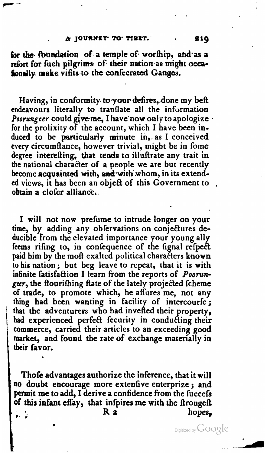#### A JOURNEY TO TIEET.

for the foundation of a temple of worthip, and as a refort for fuch pilgrims of their nation as might occafonally make visits to the confecrated Ganges.

Having, in conformity to your defires, done my beft endeavours literally to translate all the information Poorungeer could give me, I have now only to apologize for the prolixity of the account, which I have been induced to be particularly minute in, as I conceived every circumftance, however trivial, might be in fome degree interefting, that tends to illuftrate any trait in the national character of a people we are but recently become acquainted with, and with whom, in its extended views, it has been an object of this Government to obtain a clofer alliance.

I will not now prefume to intrude longer on your time, by adding any obfervations on conjectures deducible from the elevated importance your young ally feems rifing to, in confequence of the fignal refpect paid him by the moft exalted political characters known to his nation; but beg leave to repeat, that it is with infinite fatisfaction I learn from the reports of Poorungeer, the flourifhing ftate of the lately projected fcheme of trade, to promote which, he affures me, not any thing had been wanting in facility of intercourfe; that the adventurers who had invefted their property, had experienced perfect fecurity in conducting their commerce, carried their articles to an exceeding good market, and found the rate of exchange materially in their favor.

Thofe advantages authorize the inference, that it will no doubt encourage more extenfive enterprize; and permit me to add, I derive a confidence from the fuccefs of this infant effay, that infpires me with the ftrongeft R 2 hopes,  $\cdot$  .